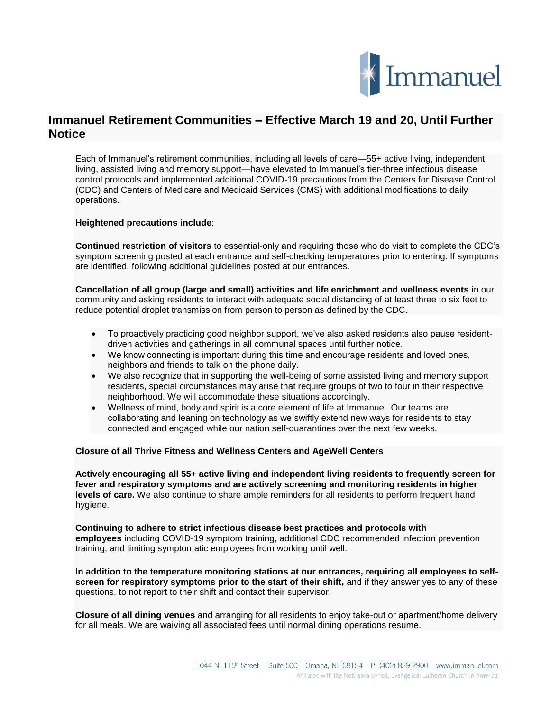

## **Immanuel Retirement Communities – Effective March 19 and 20, Until Further Notice**

Each of Immanuel's retirement communities, including all levels of care—55+ active living, independent living, assisted living and memory support—have elevated to Immanuel's tier-three infectious disease control protocols and implemented additional COVID-19 precautions from the Centers for Disease Control (CDC) and Centers of Medicare and Medicaid Services (CMS) with additional modifications to daily operations.

## **Heightened precautions include**:

**Continued restriction of visitors** to essential-only and requiring those who do visit to complete the CDC's symptom screening posted at each entrance and self-checking temperatures prior to entering. If symptoms are identified, following additional guidelines posted at our entrances.

**Cancellation of all group (large and small) activities and life enrichment and wellness events** in our community and asking residents to interact with adequate social distancing of at least three to six feet to reduce potential droplet transmission from person to person as [defined by the CDC.](https://www.cdc.gov/infectioncontrol/guidelines/isolation/index.html%C2%A0)

- To proactively practicing good neighbor support, we've also asked residents also pause residentdriven activities and gatherings in all communal spaces until further notice.
- We know connecting is important during this time and encourage residents and loved ones, neighbors and friends to talk on the phone daily.
- We also recognize that in supporting the well-being of some assisted living and memory support residents, special circumstances may arise that require groups of two to four in their respective neighborhood. We will accommodate these situations accordingly.
- Wellness of mind, body and spirit is a core element of life at Immanuel. Our teams are collaborating and leaning on technology as we swiftly extend new ways for residents to stay connected and engaged while our nation self-quarantines over the next few weeks.

## **Closure of all Thrive Fitness and Wellness Centers and AgeWell Centers**

**Actively encouraging all 55+ active living and independent living residents to frequently screen for fever and respiratory symptoms and are actively screening and monitoring residents in higher levels of care.** We also continue to share ample reminders for all residents to perform frequent hand hygiene.

**Continuing to adhere to strict infectious disease best practices and protocols with employees** including COVID-19 symptom training, additional CDC recommended infection prevention training, and limiting symptomatic employees from working until well.

**In addition to the temperature monitoring stations at our entrances, requiring all employees to selfscreen for respiratory symptoms prior to the start of their shift,** and if they answer yes to any of these questions, to not report to their shift and contact their supervisor.

**Closure of all dining venues** and arranging for all residents to enjoy take-out or apartment/home delivery for all meals. We are waiving all associated fees until normal dining operations resume.